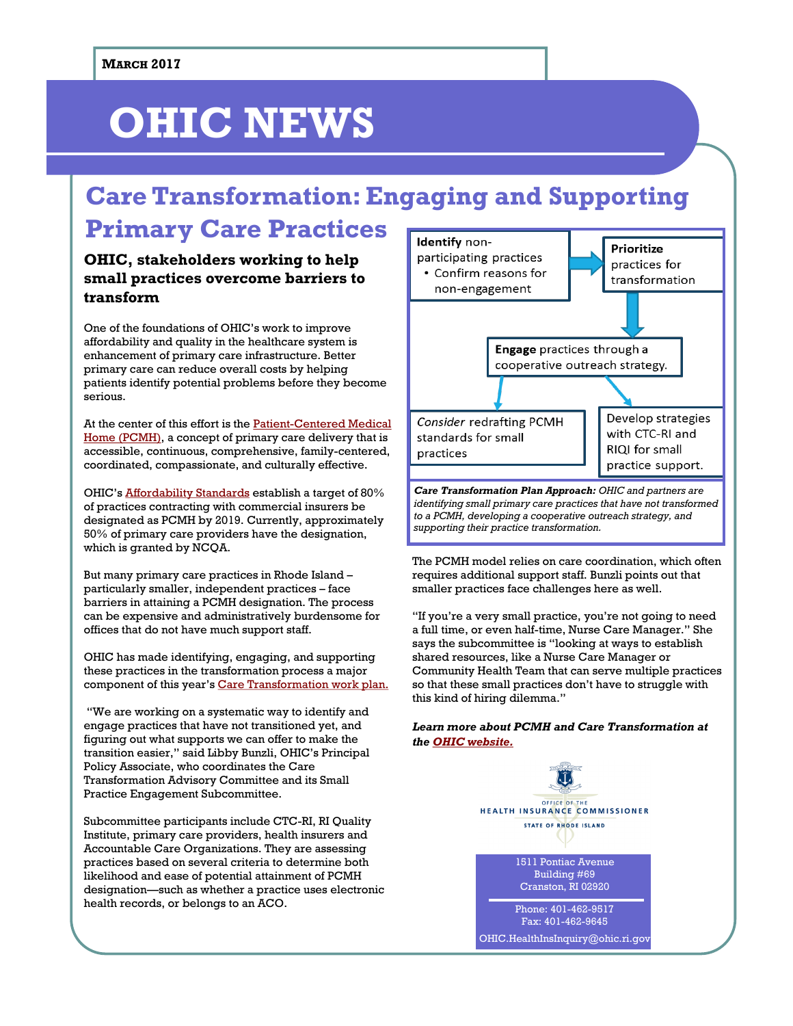# **OHIC NEWS**

## **Care Transformation: Engaging and Supporting Primary Care Practices**

### **OHIC, stakeholders working to help small practices overcome barriers to transform**

One of the foundations of OHIC's work to improve affordability and quality in the healthcare system is enhancement of primary care infrastructure. Better primary care can reduce overall costs by helping patients identify potential problems before they become serious.

At the center of this effort is the [Patient-Centered Medical](http://www.ohic.ri.gov/ohic-reformandpolicy-pcmhinfo.php)  [Home \(PCMH\),](http://www.ohic.ri.gov/ohic-reformandpolicy-pcmhinfo.php) a concept of primary care delivery that is accessible, continuous, comprehensive, family-centered, coordinated, compassionate, and culturally effective.

OHIC's [Affordability Standards](http://www.ohic.ri.gov/ohic-reformandpolicy-affordability.php) establish a target of 80% of practices contracting with commercial insurers be designated as PCMH by 2019. Currently, approximately 50% of primary care providers have the designation, which is granted by NCQA.

But many primary care practices in Rhode Island – particularly smaller, independent practices – face barriers in attaining a PCMH designation. The process can be expensive and administratively burdensome for offices that do not have much support staff.

OHIC has made identifying, engaging, and supporting these practices in the transformation process a major component of this year's [Care Transformation work plan.](http://www.ohic.ri.gov/documents/2016-2017-Care-Transformation-Plan.pdf)

"We are working on a systematic way to identify and engage practices that have not transitioned yet, and figuring out what supports we can offer to make the transition easier," said Libby Bunzli, OHIC's Principal Policy Associate, who coordinates the Care Transformation Advisory Committee and its Small Practice Engagement Subcommittee.

Subcommittee participants include CTC-RI, RI Quality Institute, primary care providers, health insurers and Accountable Care Organizations. They are assessing practices based on several criteria to determine both likelihood and ease of potential attainment of PCMH designation—such as whether a practice uses electronic health records, or belongs to an ACO.



The PCMH model relies on care coordination, which often requires additional support staff. Bunzli points out that smaller practices face challenges here as well.

"If you're a very small practice, you're not going to need a full time, or even half-time, Nurse Care Manager." She says the subcommittee is "looking at ways to establish shared resources, like a Nurse Care Manager or Community Health Team that can serve multiple practices so that these small practices don't have to struggle with this kind of hiring dilemma."

*Learn more about PCMH and Care Transformation at the [OHIC website.](http://www.ohic.ri.gov)*